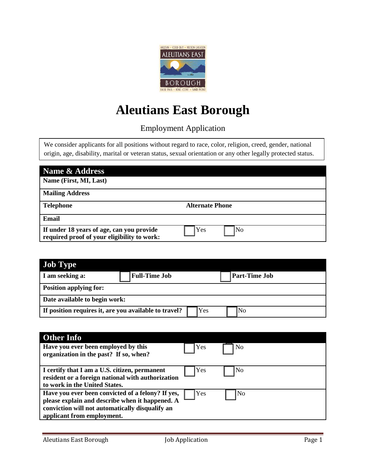

## **Aleutians East Borough**

Employment Application

We consider applicants for all positions without regard to race, color, religion, creed, gender, national origin, age, disability, marital or veteran status, sexual orientation or any other legally protected status.

| Name & Address                                                                           |                        |
|------------------------------------------------------------------------------------------|------------------------|
| Name (First, MI, Last)                                                                   |                        |
| <b>Mailing Address</b>                                                                   |                        |
| <b>Telephone</b>                                                                         | <b>Alternate Phone</b> |
| Email                                                                                    |                        |
| If under 18 years of age, can you provide<br>required proof of your eligibility to work: | No<br>Yes              |

| <b>Job Type</b>                                       |                      |     |                      |
|-------------------------------------------------------|----------------------|-----|----------------------|
| I am seeking a:                                       | <b>Full-Time Job</b> |     | <b>Part-Time Job</b> |
| <b>Position applying for:</b>                         |                      |     |                      |
| Date available to begin work:                         |                      |     |                      |
| If position requires it, are you available to travel? |                      | Yes | <b>No</b>            |

| <b>Other Info</b>                                                                                                                                                                     |     |                |
|---------------------------------------------------------------------------------------------------------------------------------------------------------------------------------------|-----|----------------|
| Have you ever been employed by this<br>organization in the past? If so, when?                                                                                                         | Yes | No             |
| I certify that I am a U.S. citizen, permanent<br>resident or a foreign national with authorization<br>to work in the United States.                                                   | Yes | N <sub>o</sub> |
| Have you ever been convicted of a felony? If yes,<br>please explain and describe when it happened. A<br>conviction will not automatically disqualify an<br>applicant from employment. | Yes | N <sub>o</sub> |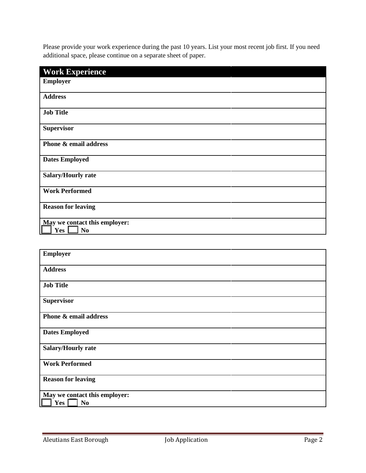Please provide your work experience during the past 10 years. List your most recent job first. If you need additional space, please continue on a separate sheet of paper.

| <b>Work Experience</b>        |
|-------------------------------|
| <b>Employer</b>               |
| <b>Address</b>                |
| <b>Job Title</b>              |
| <b>Supervisor</b>             |
| Phone & email address         |
| <b>Dates Employed</b>         |
| Salary/Hourly rate            |
| <b>Work Performed</b>         |
| <b>Reason for leaving</b>     |
| May we contact this employer: |
| Yes<br>N <sub>0</sub>         |

| <b>Employer</b>                                        |
|--------------------------------------------------------|
| <b>Address</b>                                         |
| <b>Job Title</b>                                       |
| <b>Supervisor</b>                                      |
| Phone & email address                                  |
| <b>Dates Employed</b>                                  |
| <b>Salary/Hourly rate</b>                              |
| <b>Work Performed</b>                                  |
| <b>Reason for leaving</b>                              |
| May we contact this employer:<br>Yes<br>N <sub>0</sub> |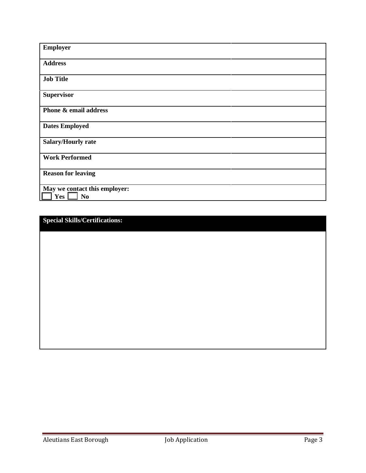| <b>Employer</b>                                        |
|--------------------------------------------------------|
| <b>Address</b>                                         |
| <b>Job Title</b>                                       |
| <b>Supervisor</b>                                      |
| Phone & email address                                  |
| <b>Dates Employed</b>                                  |
| <b>Salary/Hourly rate</b>                              |
| <b>Work Performed</b>                                  |
| <b>Reason for leaving</b>                              |
| May we contact this employer:<br>Yes<br>N <sub>o</sub> |

**Special Skills/Certifications:**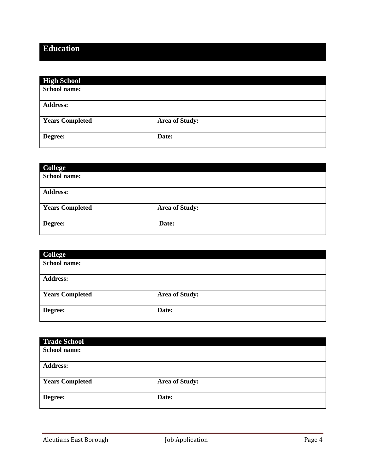## **Education**

| <b>High School</b>     |                       |  |
|------------------------|-----------------------|--|
| School name:           |                       |  |
| <b>Address:</b>        |                       |  |
|                        |                       |  |
| <b>Years Completed</b> | <b>Area of Study:</b> |  |
| Degree:                | Date:                 |  |
|                        |                       |  |

| College                |                       |
|------------------------|-----------------------|
| School name:           |                       |
|                        |                       |
| <b>Address:</b>        |                       |
|                        |                       |
| <b>Years Completed</b> | <b>Area of Study:</b> |
|                        |                       |
| Degree:                | Date:                 |
|                        |                       |

| <b>College</b>         |                |  |
|------------------------|----------------|--|
| School name:           |                |  |
|                        |                |  |
| <b>Address:</b>        |                |  |
|                        |                |  |
| <b>Years Completed</b> | Area of Study: |  |
|                        |                |  |
| Degree:                | Date:          |  |
|                        |                |  |

| <b>Trade School</b>    |                |
|------------------------|----------------|
| <b>School name:</b>    |                |
|                        |                |
| <b>Address:</b>        |                |
| <b>Years Completed</b> | Area of Study: |
| Degree:                | Date:          |